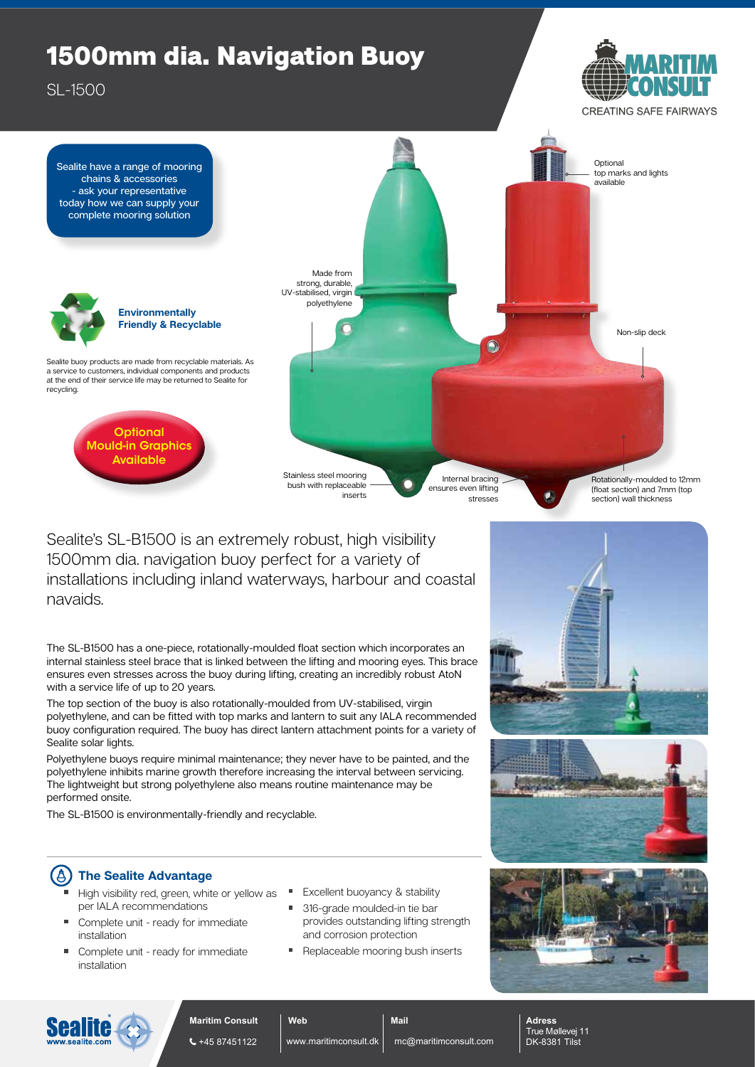## 1500mm dia. Navigation Buoy

SL-1500



**CREATING SAFE FAIRWAYS** 



Sealite's SL-B1500 is an extremely robust, high visibility 1500mm dia. navigation buoy perfect for a variety of installations including inland waterways, harbour and coastal navaids.

The SL-B1500 has a one-piece, rotationally-moulded float section which incorporates an internal stainless steel brace that is linked between the lifting and mooring eyes. This brace ensures even stresses across the buoy during lifting, creating an incredibly robust AtoN with a service life of up to 20 years.

The top section of the buoy is also rotationally-moulded from UV-stabilised, virgin polyethylene, and can be fitted with top marks and lantern to suit any IALA recommended buoy configuration required. The buoy has direct lantern attachment points for a variety of Sealite solar lights.

Polyethylene buoys require minimal maintenance; they never have to be painted, and the polyethylene inhibits marine growth therefore increasing the interval between servicing. The lightweight but strong polyethylene also means routine maintenance may be performed onsite.

The SL-B1500 is environmentally-friendly and recyclable.

## $\left( 6\right)$ **The Sealite Advantage**

- High visibility red, green, white or yellow as  $\Box$ per IALA recommendations
- Complete unit ready for immediate installation
- Complete unit ready for immediate installation
- Excellent buoyancy & stability
- 316-grade moulded-in tie bar provides outstanding lifting strength and corrosion protection
- Replaceable mooring bush inserts

**Mail**









**Maritim Consult**  $\leftarrow$  +45 87451122

**Web** www.maritimconsult.dk

mc@maritimconsult.com

**Adress** True Møllevej 11 DK-8381 Tilst